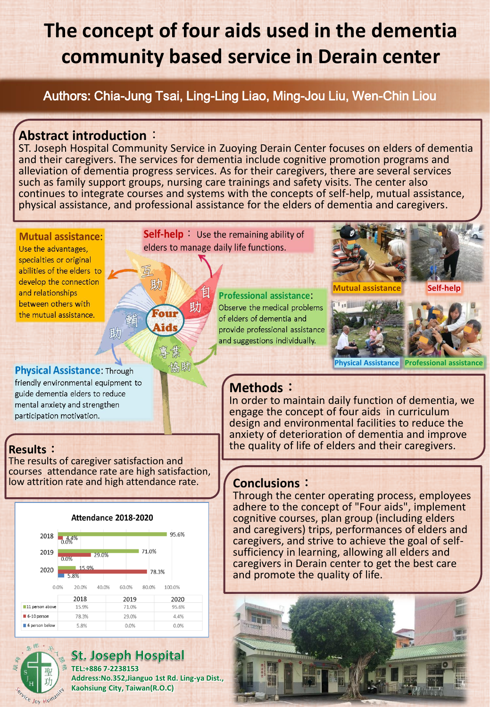# **The concept of four aids used in the dementia community based service in Derain center**

Authors: Chia-Jung Tsai, Ling-Ling Liao, Ming-Jou Liu, Wen-Chin Liou

#### **Abstract introduction**:

ST. Joseph Hospital Community Service in Zuoying Derain Center focuses on elders of dementia and their caregivers. The services for dementia include cognitive promotion programs and alleviation of dementia progress services. As for their caregivers, there are several services such as family support groups, nursing care trainings and safety visits. The center also continues to integrate courses and systems with the concepts of self-help, mutual assistance, physical assistance, and professional assistance for the elders of dementia and caregivers.

#### **Mutual assistance:**

Use the advantages, specialties or original abilities of the elders to develop the connection and relationships between others with the mutual assistance.

**Physical Assistance: Through** friendly environmental equipment to guide dementia elders to reduce mental anxiety and strengthen participation motivation.

The results of caregiver satisfaction and courses attendance rate are high satisfaction, low attrition rate and high attendance rate. **Conclusions:** 



| 2018                                               | 0.0%          |       | 95.6% |
|----------------------------------------------------|---------------|-------|-------|
| 2019                                               | 29.0%<br>0.0% | 71.0% |       |
| 2020                                               | 15.9%<br>5.8% |       | 78.3% |
| 0.0%<br>20.0%<br>40.0%<br>60.0%<br>80.0%<br>100.0% |               |       |       |
|                                                    | 2018          | 2019  | 2020  |
| 11 person above                                    | 15.9%         | 71.0% | 95.6% |
| $6-10$ person                                      | 78.3%         | 29.0% | 4.4%  |
| 6 person below                                     | 5.8%          | 0.0%  | 0.0%  |



**St. Joseph Hospital TEL:+886 7-2238153 Address:No.352,Jianguo 1st Rd. Ling-ya Dist.,**

**Kaohsiung City, Taiwan(R.O.C)**

**Self-help** Use the remaining ability of elders to manage daily life functions.

助

助

騙

助

Four

ids

協助

**Professional assistance:** Observe the medical problems of elders of dementia and provide professional assistance and suggestions individually.



**Physical Assistance Professional assistance**

### **Methods**:

In order to maintain daily function of dementia, we engage the concept of four aids in curriculum design and environmental facilities to reduce the anxiety of deterioration of dementia and improve the quality of life of elders and their caregivers. **Results**:

Through the center operating process, employees adhere to the concept of "Four aids", implement cognitive courses, plan group (including elders and caregivers) trips, performances of elders and caregivers, and strive to achieve the goal of selfsufficiency in learning, allowing all elders and caregivers in Derain center to get the best care and promote the quality of life.